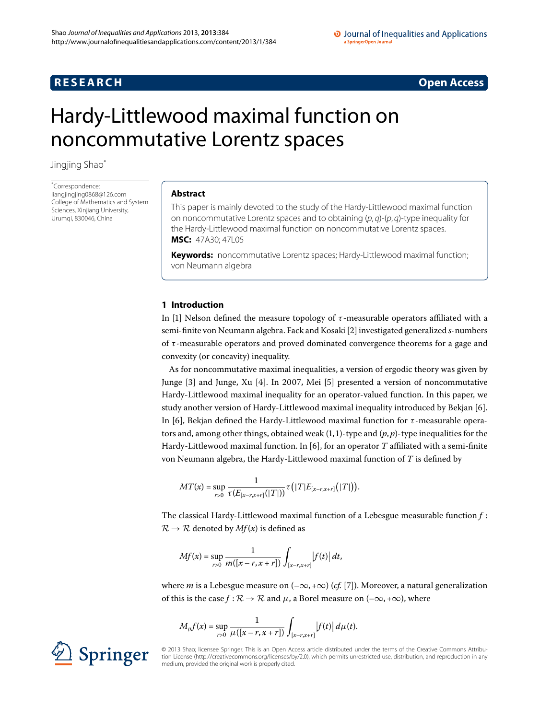# **R E S E A R C H Open Access**

#### O Journal of Inequalities and Applications a SpringerOpen Journal

# <span id="page-0-0"></span>Hardy-Littlewood maximal function on noncommutative Lorentz spaces

Jingjing Sha[o\\*](#page-0-0)

\* Correspondence: [liangjingjing0868@126.com](mailto:liangjingjing0868@126.com) College of Mathematics and System Sciences, Xinjiang University, Urumqi, 830046, China

# **Abstract**

This paper is mainly devoted to the study of the Hardy-Littlewood maximal function on noncommutative Lorentz spaces and to obtaining  $(p, q)$ - $(p, q)$ -type inequality for the Hardy-Littlewood maximal function on noncommutative Lorentz spaces. **MSC:** 47A30; 47L05

**Keywords:** noncommutative Lorentz spaces; Hardy-Littlewood maximal function; von Neumann algebra

# **1 Introduction**

In [1] Nelson defined the measure topology of  $\tau$ -measurable operators affiliated with a semi-finite von Neumann algebra. Fack and Kosaki [\[](#page-7-1)2] investigated generalized *s*-numbers of *τ* -measurable operators and proved dominated convergence theorems for a gage and convexity (or concavity) inequality.

As for noncommutative maximal inequalities, a version of ergodic theory was given by Junge [3[\]](#page-7-4) and Junge, Xu [\[](#page-7-3)4]. In 2007, Mei [5] presented a version of noncommutative Hardy-Littlewood maximal inequality for an operator-valued function. In this paper, we study another version of Hardy-Littlewood maximal inequality introduced by Bekjan [6]. In [\[](#page-7-5)], Bekjan defined the Hardy-Littlewood maximal function for *τ* -measurable operators and, among other things, obtained weak  $(1, 1)$ -type and  $(p, p)$ -type inequalities for the Hardy-Littlewood maximal function. In [6[\]](#page-7-5), for an operator  $T$  affiliated with a semi-finite von Neumann algebra, the Hardy-Littlewood maximal function of *T* is defined by

$$
MT(x) = \sup_{r>0} \frac{1}{\tau(E_{[x-r,x+r]}(|T|))} \tau(|T|E_{[x-r,x+r]}(|T|)).
$$

The classical Hardy-Littlewood maximal function of a Lebesgue measurable function *f* :  $\mathcal{R} \rightarrow \mathcal{R}$  denoted by  $Mf(x)$  is defined as

$$
Mf(x) = \sup_{r>0} \frac{1}{m([x-r,x+r])} \int_{[x-r,x+r]} |f(t)| dt,
$$

where *m* is a Lebesgue measure on  $(-\infty, +\infty)$  (*cf.* [\[](#page-7-6)7]). Moreover, a natural generalization of this is the case *f* :  $\mathcal{R} \to \mathcal{R}$  and  $\mu$ , a Borel measure on (– $\infty$ , + $\infty$ ), where

$$
M_{\mu}f(x) = \sup_{r>0} \frac{1}{\mu([x-r,x+r])} \int_{[x-r,x+r]} |f(t)| d\mu(t).
$$

© 2013 Shao; licensee Springer. This is an Open Access article distributed under the terms of the Creative Commons Attribution License ([http://creativecommons.org/licenses/by/2.0\)](http://creativecommons.org/licenses/by/2.0), which permits unrestricted use, distribution, and reproduction in any medium, provided the original work is properly cited.

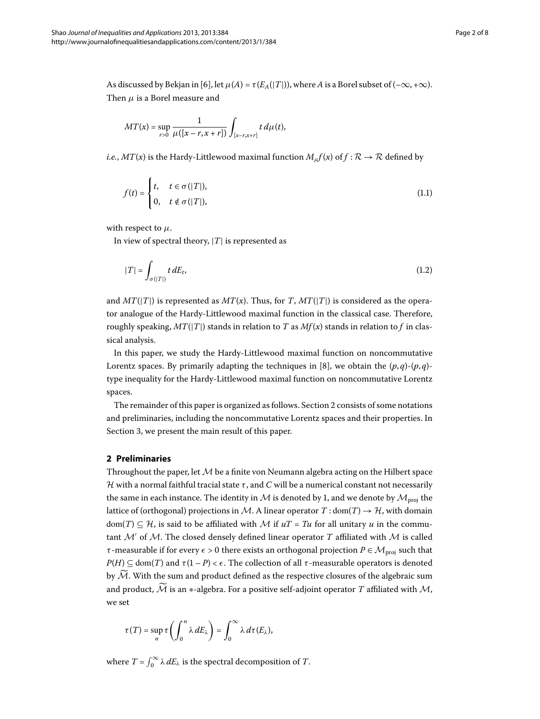As discussed by Bekjan in [6], let  $\mu(A) = \tau(E_A(|T|))$ , where *A* is a Borel subset of  $(-\infty, +\infty)$ . Then  $\mu$  is a Borel measure and

$$
MT(x) = \sup_{r>0} \frac{1}{\mu([x-r,x+r])} \int_{[x-r,x+r]} t \, d\mu(t),
$$

*i.e.*, *MT*(*x*) is the Hardy-Littlewood maximal function  $M_{\mu}f(x)$  of  $f : \mathcal{R} \to \mathcal{R}$  defined by

$$
f(t) = \begin{cases} t, & t \in \sigma(|T|), \\ 0, & t \notin \sigma(|T|), \end{cases}
$$
 (1.1)

with respect to *μ*.

In view of spectral theory,  $|T|$  is represented as

$$
|T| = \int_{\sigma(|T|)} t \, dE_t,\tag{1.2}
$$

and  $MT(|T|)$  is represented as  $MT(x)$ . Thus, for *T*,  $MT(|T|)$  is considered as the operator analogue of the Hardy-Littlewood maximal function in the classical case. Therefore, roughly speaking,  $MT(|T|)$  stands in relation to *T* as  $Mf(x)$  stands in relation to *f* in classical analysis.

<span id="page-1-0"></span>In this paper, we study the Hardy-Littlewood maximal function on noncommutative Lorentz spaces. By primarily adapting the techniques in [8[\]](#page-7-7), we obtain the  $(p, q)$ - $(p, q)$ type inequality for the Hardy-Littlewood maximal function on noncommutative Lorentz spaces.

The remainder of this paper is organized as follows. Section 2 consists of some notations and preliminaries, including the noncommutative Lorentz spaces and their properties. In Section 3, we present the main result of this paper.

## **2 Preliminaries**

Throughout the paper, let  $\mathcal M$  be a finite von Neumann algebra acting on the Hilbert space H with a normal faithful tracial state  $τ$ , and  $C$  will be a numerical constant not necessarily the same in each instance. The identity in M is denoted by 1, and we denote by  $\mathcal{M}_{\text{proj}}$  the lattice of (orthogonal) projections in M. A linear operator  $T : dom(T) \rightarrow H$ , with domain dom(*T*)  $\subseteq$  *H*, is said to be affiliated with *M* if  $uT = Tu$  for all unitary *u* in the commutant  $\mathcal{M}'$  of  $\mathcal{M}$ . The closed densely defined linear operator *T* affiliated with  $\mathcal{M}$  is called *τ* -measurable if for every  $\epsilon > 0$  there exists an orthogonal projection  $P \in \mathcal{M}_{\text{proj}}$  such that  $P(H) \subseteq \text{dom}(T)$  and  $\tau(1 - P) < \epsilon$ . The collection of all  $\tau$ -measurable operators is denoted by  $\widetilde{M}$ . With the sum and product defined as the respective closures of the algebraic sum and product,  $\widetilde{\mathcal{M}}$  is an  $*$ -algebra. For a positive self-adjoint operator  $T$  affiliated with  $\mathcal{M}$ , we set

$$
\tau(T) = \sup_n \tau\left(\int_0^n \lambda \, dE_\lambda\right) = \int_0^\infty \lambda \, d\tau(E_\lambda),
$$

where  $T = \int_0^\infty \lambda \, dE_\lambda$  is the spectral decomposition of *T*.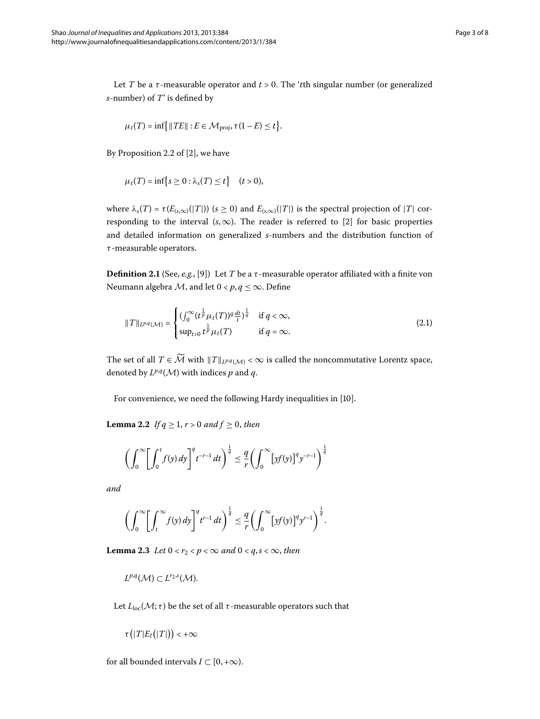Let *T* be a *τ*-measurable operator and  $t > 0$ . The '*t*th singular number (or generalized *s*-number) of *T*' is defined by

$$
\mu_t(T) = \inf \{ \| TE \| : E \in \mathcal{M}_{\text{proj}}, \tau(1 - E) \le t \}.
$$

By Proposition 2.2 of  $[2]$  $[2]$ , we have

$$
\mu_t(T)=\inf\big\{s\geq 0:\lambda_s(T)\leq t\big\}\quad (t>0),
$$

where  $\lambda_s(T) = \tau(E_{(s,\infty)}(|T|))$  ( $s \ge 0$ ) and  $E_{(s,\infty)}(|T|)$  is the spectral projection of |*T*| corresponding to the interval  $(s, \infty)$ . The reader is referred to [\[](#page-7-1)2] for basic properties and detailed information on generalized *s*-numbers and the distribution function of *τ* -measurable operators.

**Definition 2.1** (See, *e.g.*, [9[\]](#page-7-8)) Let *T* be a  $\tau$ -measurable operator affiliated with a finite von Neumann algebra *M*, and let  $0 < p, q \le \infty$ . Define

$$
||T||_{L^{p,q}(\mathcal{M})} = \begin{cases} (\int_0^\infty (t^{\frac{1}{p}} \mu_t(T))^q \frac{dt}{t})^{\frac{1}{q}} & \text{if } q < \infty, \\ \sup_{t>0} t^{\frac{1}{p}} \mu_t(T) & \text{if } q = \infty. \end{cases}
$$
(2.1)

<span id="page-2-1"></span>The set of all  $T \in \widetilde{\mathcal{M}}$  with  $\|T\|_{L^{p,q}(\mathcal{M})} < \infty$  is called the noncommutative Lorentz space, denoted by  $L^{p,q}(\mathcal{M})$  with indices *p* and *q*.

For convenience, we need the following Hardy inequalities in [\[](#page-7-9)10].

**Lemma 2.2** *If*  $q \ge 1, r > 0$  *and*  $f \ge 0$ *, then* 

$$
\left(\int_0^\infty \left[\int_0^t f(y) dy\right]^q t^{-r-1} dt\right)^{\frac{1}{q}} \leq \frac{q}{r} \left(\int_0^\infty \left[yf(y)\right]^q y^{-r-1}\right)^{\frac{1}{q}}
$$

<span id="page-2-0"></span>*and*

$$
\left(\int_0^\infty \left[\int_t^\infty f(y)\,dy\right]^q t^{r-1}\,dt\right)^{\frac{1}{q}} \leq \frac{q}{r}\left(\int_0^\infty \left[yf(y)\right]^q y^{r-1}\right)^{\frac{1}{q}}.
$$

**Lemma 2.3** Let  $0 < r_2 < p < \infty$  and  $0 < q, s < \infty$ , then

$$
L^{p,q}(\mathcal{M})\subset L^{r_2,s}(\mathcal{M}).
$$

Let  $L_{\text{loc}}(\mathcal{M}; \tau)$  be the set of all  $\tau$ -measurable operators such that

$$
\tau\big(|T|E_I(|T|)\big)<+\infty
$$

for all bounded intervals  $I \subset [0, +\infty)$ .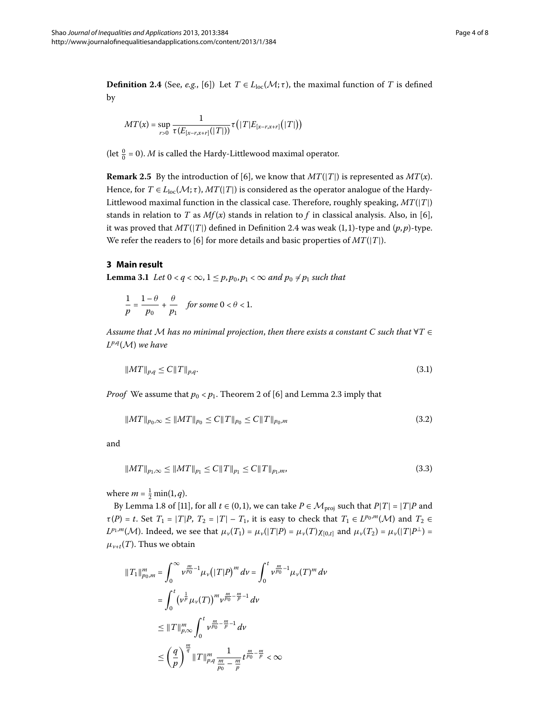<span id="page-3-1"></span>**Definition 2.4** (See, *e.g.*, [6]) Let  $T \in L_{loc}(\mathcal{M}; \tau)$ , the maximal function of *T* is defined by

$$
MT(x) = \sup_{r>0} \frac{1}{\tau(E_{[x-r,x+r]}(|T|))} \tau(|T|E_{[x-r,x+r]}(|T|))
$$

(let  $\frac{0}{0}$  = 0). *M* is called the Hardy-Littlewood maximal operator.

<span id="page-3-4"></span><span id="page-3-0"></span>**Remark 2.5** By the introduction of [6], we know that  $MT(T|T)$  is represented as  $MT(x)$ . Hence, for  $T \in L_{loc}(\mathcal{M}; \tau)$ ,  $MT(|T|)$  is considered as the operator analogue of the Hardy-Littlewood maximal function in the classical case. Therefore, roughly speaking, *MT*(|*T*|) stands in relation to *T* as  $Mf(x)$  stands in relation to *f* in classical analysis. Also, in [6], it was proved that  $MT(|T|)$  defined in Definition 2[.](#page-3-1)4 was weak (1,1)-type and  $(p, p)$ -type. We refer the readers to [6] for more details and basic properties of  $MT(|T|)$ .

# **3 Main result**

**Lemma 3.1** Let  $0 < q < \infty$ ,  $1 \leq p, p_0, p_1 < \infty$  and  $p_0 \neq p_1$  such that

$$
\frac{1}{p} = \frac{1-\theta}{p_0} + \frac{\theta}{p_1} \quad \text{for some } 0 < \theta < 1.
$$

*Assume that* M *has no minimal projection*, *then there exists a constant C such that* ∀*T* ∈ *<sup>L</sup><sup>p</sup>*,*<sup>q</sup>*(M) *we have*

<span id="page-3-3"></span><span id="page-3-2"></span>
$$
||MT||_{p,q} \le C||T||_{p,q}.\tag{3.1}
$$

*Proof* We assume that  $p_0 < p_1$ [.](#page-2-0) Theorem 2 of [6] and Lemma 2.3 imply that

$$
||MT||_{p_0,\infty} \le ||MT||_{p_0} \le C||T||_{p_0} \le C||T||_{p_0,m} \tag{3.2}
$$

and

$$
||MT||_{p_1,\infty} \le ||MT||_{p_1} \le C||T||_{p_1} \le C||T||_{p_1,m},\tag{3.3}
$$

where  $m = \frac{1}{2} \min(1, q)$ .

By Lemma 1.8 of [\[](#page-7-10)11], for all  $t \in (0, 1)$ , we can take  $P \in \mathcal{M}_{\text{proj}}$  such that  $P|T| = |T|P$  and  $\tau(P) = t$ . Set  $T_1 = |T|P$ ,  $T_2 = |T| - T_1$ , it is easy to check that  $T_1 \in L^{p_0,m}(\mathcal{M})$  and  $T_2 \in L^{p_0,m}(\mathcal{M})$  $L^{p_1,m}(\mathcal{M})$ . Indeed, we see that  $\mu_v(T_1) = \mu_v(|T|P) = \mu_v(T)\chi_{[0,t]}$  and  $\mu_v(T_2) = \mu_v(|T|P^{\perp}) =$  $\mu_{v+t}(T)$ . Thus we obtain

$$
||T_{1}||_{p_{0},m}^{m} = \int_{0}^{\infty} \nu^{\frac{m}{p_{0}}-1} \mu_{\nu} (|T|P)^{m} d\nu = \int_{0}^{t} \nu^{\frac{m}{p_{0}}-1} \mu_{\nu} (T)^{m} d\nu
$$
  

$$
= \int_{0}^{t} (\nu^{\frac{1}{p}} \mu_{\nu} (T))^{m} \nu^{\frac{m}{p_{0}}-\frac{m}{p}-1} d\nu
$$
  

$$
\leq ||T||_{p,\infty}^{m} \int_{0}^{t} \nu^{\frac{m}{p_{0}}-\frac{m}{p}-1} d\nu
$$
  

$$
\leq \left(\frac{q}{p}\right)^{\frac{m}{q}} ||T||_{p,q}^{m} \frac{1}{\frac{m}{p_{0}}-\frac{m}{p}} t^{\frac{m}{p_{0}}-\frac{m}{p}} < \infty
$$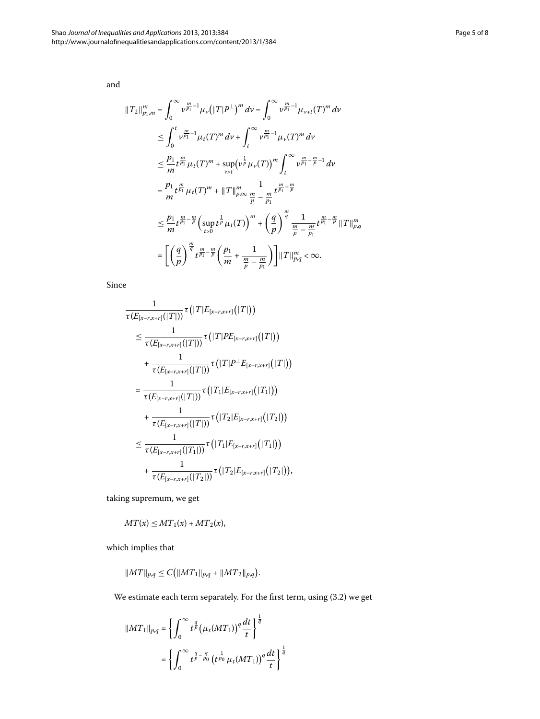and

$$
||T_{2}||_{p_{1},m}^{m} = \int_{0}^{\infty} v^{\frac{m}{p_{1}}-1} \mu_{\nu} (|T|P^{\perp})^{m} d\nu = \int_{0}^{\infty} v^{\frac{m}{p_{1}}-1} \mu_{\nu+t}(T)^{m} d\nu
$$
  
\n
$$
\leq \int_{0}^{t} v^{\frac{m}{p_{1}}-1} \mu_{t}(T)^{m} d\nu + \int_{t}^{\infty} v^{\frac{m}{p_{1}}-1} \mu_{\nu}(T)^{m} d\nu
$$
  
\n
$$
\leq \frac{p_{1}}{m} t^{\frac{m}{p_{1}}} \mu_{t}(T)^{m} + \sup_{\nu>t} (v^{\frac{1}{p}} \mu_{\nu}(T))^{m} \int_{t}^{\infty} v^{\frac{m}{p_{1}}-\frac{m}{p}-1} d\nu
$$
  
\n
$$
= \frac{p_{1}}{m} t^{\frac{m}{p_{1}}} \mu_{t}(T)^{m} + ||T||_{p,\infty}^{m} \frac{1}{\frac{m}{p}-\frac{m}{p_{1}}} t^{\frac{m}{p_{1}}-\frac{m}{p}}
$$
  
\n
$$
\leq \frac{p_{1}}{m} t^{\frac{m}{p_{1}}-\frac{m}{p}} \left( \sup_{t>0} t^{\frac{1}{p}} \mu_{t}(T) \right)^{m} + \left( \frac{q}{p} \right)^{\frac{m}{q}} \frac{1}{\frac{m}{p}-\frac{m}{p_{1}}} t^{\frac{m}{p_{1}}-\frac{m}{p}} ||T||_{p,q}^{m}
$$
  
\n
$$
= \left[ \left( \frac{q}{p} \right)^{\frac{m}{q}} t^{\frac{m}{p_{1}}-\frac{m}{p}} \left( \frac{p_{1}}{m} + \frac{1}{\frac{m}{p}-\frac{m}{p_{1}}} \right) \right] ||T||_{p,q}^{m} < \infty.
$$

Since

$$
\frac{1}{\tau(E_{[x-r,x+r]}(|T|))}\tau(|T|E_{[x-r,x+r]}(|T|))
$$
\n
$$
\leq \frac{1}{\tau(E_{[x-r,x+r]}(|T|))}\tau(|T|PE_{[x-r,x+r]}(|T|))
$$
\n
$$
+\frac{1}{\tau(E_{[x-r,x+r]}(|T|))}\tau(|T|P^{\perp}E_{[x-r,x+r]}(|T|))
$$
\n
$$
=\frac{1}{\tau(E_{[x-r,x+r]}(|T|))}\tau(|T_1|E_{[x-r,x+r]}(|T_1|))
$$
\n
$$
+\frac{1}{\tau(E_{[x-r,x+r]}(|T|))}\tau(|T_2|E_{[x-r,x+r]}(|T_2|))
$$
\n
$$
\leq \frac{1}{\tau(E_{[x-r,x+r]}(|T_1|))}\tau(|T_1|E_{[x-r,x+r]}(|T_1|))
$$
\n
$$
+\frac{1}{\tau(E_{[x-r,x+r]}(|T_2|))}\tau(|T_2|E_{[x-r,x+r]}(|T_2|)),
$$

taking supremum, we get

$$
MT(x) \leq MT_1(x) + MT_2(x),
$$

which implies that

$$
||MT||_{p,q} \leq C\big(||MT_1||_{p,q} + ||MT_2||_{p,q}\big).
$$

We estimate each term separately. For the first term, using  $(3.2)$  we get

$$
\begin{aligned} \|MT_1\|_{p,q} &= \left\{ \int_0^\infty t^{\frac{q}{p}} \big(\mu_t(MT_1)\big)^q \frac{dt}{t} \right\}^{\frac{1}{q}} \\ &= \left\{ \int_0^\infty t^{\frac{q}{p} - \frac{q}{p_0}} \big(t^{\frac{1}{p_0}} \mu_t(MT_1)\big)^q \frac{dt}{t} \right\}^{\frac{1}{q}} \end{aligned}
$$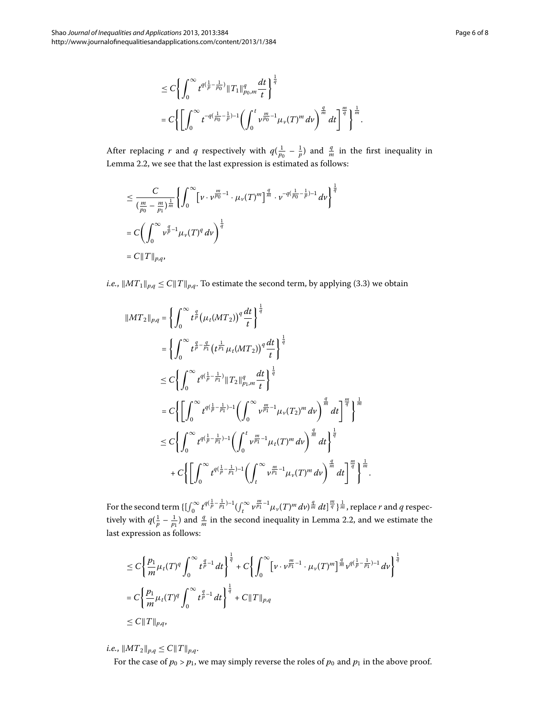$$
\leq C \left\{ \int_0^\infty t^{q(\frac{1}{p} - \frac{1}{p_0})} \|T_1\|_{p_0, m}^q \frac{dt}{t} \right\}^{\frac{1}{q}} \n= C \left\{ \left[ \int_0^\infty t^{-q(\frac{1}{p_0} - \frac{1}{p}) - 1} \left( \int_0^t \nu_{p_0}^{\frac{m}{p_0} - 1} \mu_\nu(T)^m \, d\nu \right)^{\frac{q}{m}} \, dt \right\}^{\frac{m}{q}} \right\}^{\frac{1}{m}}.
$$

After replacing *r* and *q* respectively with  $q(\frac{1}{p_0} - \frac{1}{p})$  and  $\frac{q}{m}$  in the first inequality in Lemma 2.2, we see that the last expression is estimated as follows:

$$
\leq \frac{C}{(\frac{m}{p_0} - \frac{m}{p_1})^{\frac{1}{m}}} \left\{ \int_0^\infty \left[ \nu \cdot \nu^{\frac{m}{p_0} - 1} \cdot \mu_\nu(T)^m \right]^{\frac{q}{m}} \cdot \nu^{-q(\frac{1}{p_0} - \frac{1}{p}) - 1} d\nu \right\}^{\frac{1}{q}}
$$
  
=  $C \left( \int_0^\infty \nu^{\frac{q}{p} - 1} \mu_\nu(T)^q d\nu \right)^{\frac{1}{q}}$   
=  $C || T ||_{p,q}$ ,

*i[.](#page-3-3)e.*,  $||MT_1||_{p,q} \leq C||T||_{p,q}$ . To estimate the second term, by applying (3.3) we obtain

$$
||MT_{2}||_{p,q} = \left\{ \int_{0}^{\infty} t^{\frac{q}{p}} (\mu_{t}(MT_{2}))^{q} \frac{dt}{t} \right\}^{\frac{1}{q}}
$$
  
\n
$$
= \left\{ \int_{0}^{\infty} t^{\frac{q}{p} - \frac{q}{p_{1}}} (t^{\frac{1}{p_{1}}} \mu_{t}(MT_{2}))^{q} \frac{dt}{t} \right\}^{\frac{1}{q}}
$$
  
\n
$$
\leq C \left\{ \int_{0}^{\infty} t^{q(\frac{1}{p} - \frac{1}{p_{1}})} ||T_{2}||_{p_{1},m}^{q} \frac{dt}{t} \right\}^{\frac{1}{q}}
$$
  
\n
$$
= C \left\{ \left[ \int_{0}^{\infty} t^{q(\frac{1}{p} - \frac{1}{p_{1}}) - 1} \left( \int_{0}^{\infty} v^{\frac{m}{p_{1}} - 1} \mu_{v}(T_{2})^{m} dv \right)^{\frac{q}{m}} dt \right]^{\frac{m}{q}} \right\}^{\frac{1}{m}}
$$
  
\n
$$
\leq C \left\{ \int_{0}^{\infty} t^{q(\frac{1}{p} - \frac{1}{p_{1}}) - 1} \left( \int_{0}^{t} v^{\frac{m}{p_{1}} - 1} \mu_{t}(T)^{m} dv \right)^{\frac{q}{m}} dt \right\}^{\frac{1}{q}}
$$
  
\n
$$
+ C \left\{ \left[ \int_{0}^{\infty} t^{q(\frac{1}{p} - \frac{1}{p_{1}}) - 1} \left( \int_{t}^{\infty} v^{\frac{m}{p_{1}} - 1} \mu_{v}(T)^{m} dv \right)^{\frac{q}{m}} dt \right\}^{\frac{q}{q}} \right\}^{\frac{m}{q}}
$$

For the second term  $\{[\int_0^\infty t^{q(\frac{1}{p}-\frac{1}{p_1})-1}(\int_t^\infty v^{\frac{m}{p_1}-1}\mu_v(T)^m\,dv)^{\frac{q}{m}}\,dt]^{\frac{m}{q}}\}^{\frac{1}{m}}$ , replace  $r$  and  $q$  respectively with  $q(\frac{1}{p} - \frac{1}{p_1})$  and  $\frac{q}{m}$  in the second inequality in Lemma 2.2, and we estimate the last expression as follows:

$$
\leq C \left\{ \frac{p_1}{m} \mu_t(T)^q \int_0^\infty t^{\frac{q}{p}-1} dt \right\}^{\frac{1}{q}} + C \left\{ \int_0^\infty \left[ \nu \cdot \nu^{\frac{m}{p_1}-1} \cdot \mu_v(T)^m \right]^{\frac{q}{m}} \nu^{q(\frac{1}{p}-\frac{1}{p_1})-1} dv \right\}^{\frac{1}{q}}
$$
  
= 
$$
C \left\{ \frac{p_1}{m} \mu_t(T)^q \int_0^\infty t^{\frac{q}{p}-1} dt \right\}^{\frac{1}{q}} + C ||T||_{p,q}
$$
  
\$\leq C ||T||\_{p,q}\$,

*i.e.*,  $||MT_2||_{p,q} \leq C||T||_{p,q}$ .

For the case of  $p_0 > p_1$ , we may simply reverse the roles of  $p_0$  and  $p_1$  in the above proof.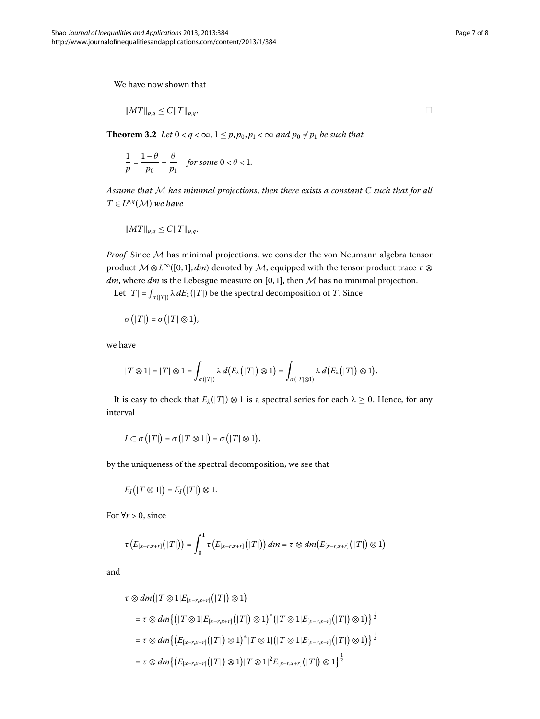We have now shown that

$$
||MT||_{p,q} \le C||T||_{p,q}.
$$

**Theorem 3.2** Let  $0 < q < \infty$ ,  $1 \le p, p_0, p_1 < \infty$  and  $p_0 \ne p_1$  be such that

$$
\frac{1}{p} = \frac{1-\theta}{p_0} + \frac{\theta}{p_1} \quad \text{for some } 0 < \theta < 1.
$$

*Assume that* M *has minimal projections*, *then there exists a constant C such that for all*  $T \in L^{p,q}(\mathcal{M})$  *we have* 

$$
||MT||_{p,q} \leq C||T||_{p,q}.
$$

*Proof* Since M has minimal projections, we consider the von Neumann algebra tensor product  $M\overline{\otimes} L^{\infty}([0,1]; dm)$  denoted by  $\overline{M}$ , equipped with the tensor product trace  $\tau\otimes$ *dm*, where *dm* is the Lebesgue measure on [0,1], then  $\overline{M}$  has no minimal projection.

Let  $|T| = \int_{\sigma(|T|)} \lambda \, dE_{\lambda}(|T|)$  be the spectral decomposition of *T*. Since

$$
\sigma(|T|) = \sigma(|T| \otimes 1),
$$

we have

$$
|T\otimes 1|=|T|\otimes 1=\int_{\sigma(|T|)}\lambda\,d\big(E_{\lambda}\big(|T|\big)\otimes 1\big)=\int_{\sigma(|T|\otimes 1)}\lambda\,d\big(E_{\lambda}\big(|T|\big)\otimes 1\big).
$$

It is easy to check that  $E_\lambda(|T|) \otimes 1$  is a spectral series for each  $\lambda \geq 0$ . Hence, for any interval

$$
I\subset \sigma(|T|)=\sigma(|T\otimes 1|)=\sigma(|T|\otimes 1),
$$

by the uniqueness of the spectral decomposition, we see that

$$
E_I(|T\otimes 1|)=E_I(|T|)\otimes 1.
$$

For  $\forall r > 0$ , since

$$
\tau\big(E_{[x-r,x+r]}\big(|T|\big)\big)=\int_0^1\tau\big(E_{[x-r,x+r]}\big(|T|\big)\big)\,dm=\tau\otimes dm\big(E_{[x-r,x+r]}\big(|T|\big)\otimes 1\big)
$$

and

$$
\tau \otimes dm(|T \otimes 1|E_{[x-r,x+r]}(|T|) \otimes 1)
$$
\n
$$
= \tau \otimes dm\{(|T \otimes 1|E_{[x-r,x+r]}(|T|) \otimes 1)^{*}(|T \otimes 1|E_{[x-r,x+r]}(|T|) \otimes 1)\}^{\frac{1}{2}}
$$
\n
$$
= \tau \otimes dm\{ (E_{[x-r,x+r]}(|T|) \otimes 1)^{*} | T \otimes 1 | (|T \otimes 1|E_{[x-r,x+r]}(|T|) \otimes 1) \}^{\frac{1}{2}}
$$
\n
$$
= \tau \otimes dm\{ (E_{[x-r,x+r]}(|T|) \otimes 1) | T \otimes 1 |^{2}E_{[x-r,x+r]}(|T|) \otimes 1 \}^{\frac{1}{2}}
$$